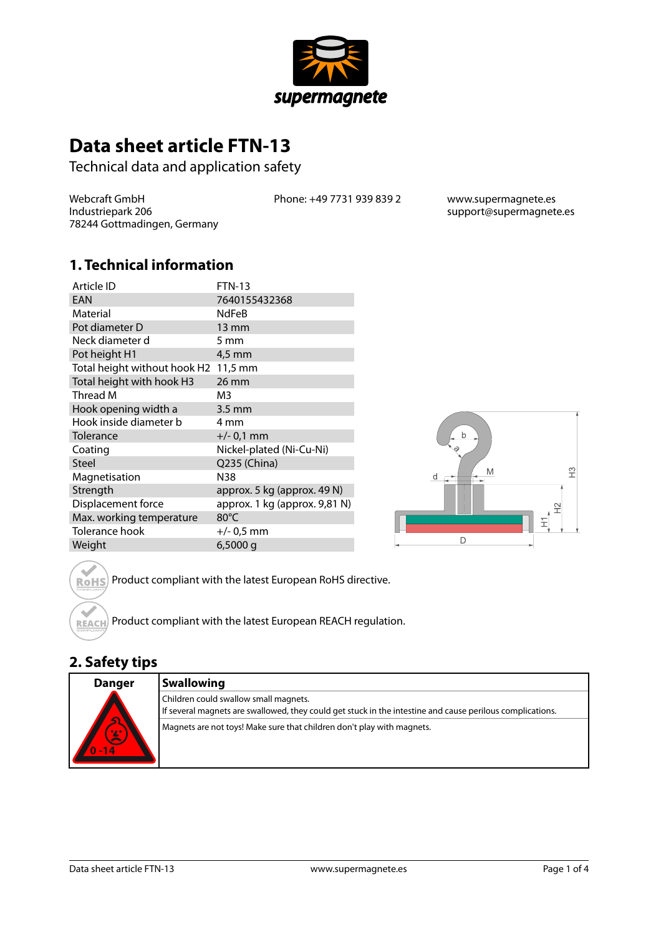

# **Data sheet article FTN-13**

Technical data and application safety

Webcraft GmbH Industriepark 206 78244 Gottmadingen, Germany Phone: +49 7731 939 839 2 www.supermagnete.es

support@supermagnete.es

#### **1. Technical information**

| Article ID                   | <b>FTN-13</b>                 |
|------------------------------|-------------------------------|
| EAN                          | 7640155432368                 |
| Material                     | <b>NdFeB</b>                  |
| Pot diameter D               | $13 \text{ mm}$               |
| Neck diameter d              | 5 mm                          |
| Pot height H1                | 4,5 mm                        |
| Total height without hook H2 | $11.5 \text{ mm}$             |
| Total height with hook H3    | 26 mm                         |
| Thread M                     | M3                            |
| Hook opening width a         | $3.5 \text{ mm}$              |
| Hook inside diameter b       | 4 mm                          |
| Tolerance                    | $+/- 0.1$ mm                  |
| Coating                      | Nickel-plated (Ni-Cu-Ni)      |
| <b>Steel</b>                 | Q235 (China)                  |
| Magnetisation                | N38                           |
| Strength                     | approx. 5 kg (approx. 49 N)   |
| Displacement force           | approx. 1 kg (approx. 9,81 N) |
| Max. working temperature     | 80°C                          |
| Tolerance hook               | $+/- 0.5$ mm                  |
| Weight                       | $6,5000$ g                    |



Product compliant with the latest European RoHS directive. **RoHS** 

Product compliant with the latest European REACH regulation. **REACH** 

#### **2. Safety tips**

| <b>Danger</b><br>KY<br>罢 | <b>Swallowing</b>                                                                                                                                  |
|--------------------------|----------------------------------------------------------------------------------------------------------------------------------------------------|
|                          | Children could swallow small magnets.<br>If several magnets are swallowed, they could get stuck in the intestine and cause perilous complications. |
|                          | Magnets are not toys! Make sure that children don't play with magnets.                                                                             |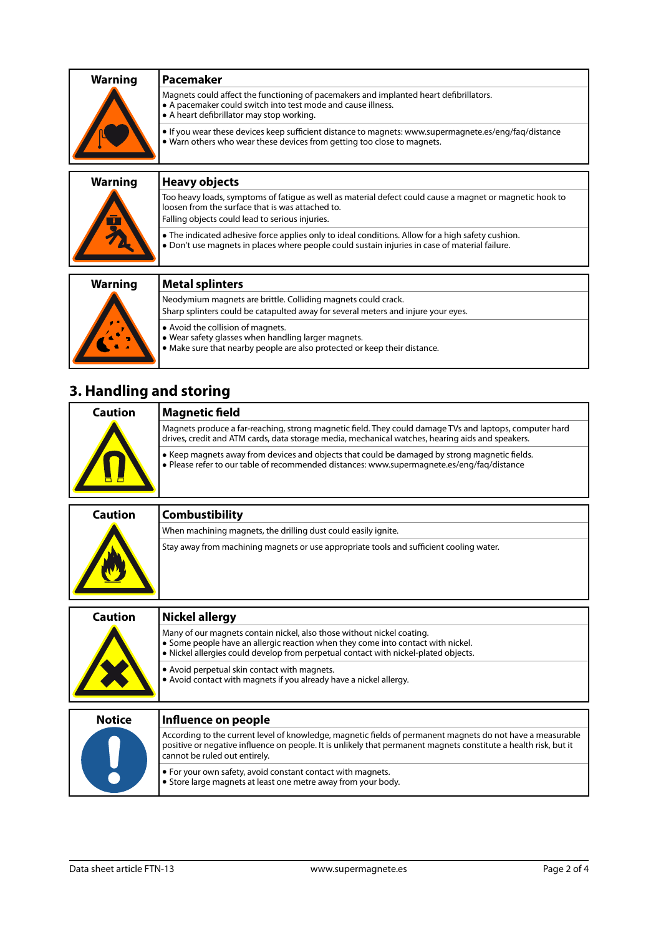| <b>Warning</b> | 'Pacemaker                                                                                                                                                                                          |
|----------------|-----------------------------------------------------------------------------------------------------------------------------------------------------------------------------------------------------|
|                | Magnets could affect the functioning of pacemakers and implanted heart defibrillators.<br>• A pacemaker could switch into test mode and cause illness.<br>• A heart defibrillator may stop working. |
|                | • If you wear these devices keep sufficient distance to magnets: www.supermagnete.es/eng/fag/distance<br>• Warn others who wear these devices from getting too close to magnets.                    |
|                |                                                                                                                                                                                                     |
|                |                                                                                                                                                                                                     |

| <b>Warning</b> | Heavy objects                                                                                                                                                                                                   |
|----------------|-----------------------------------------------------------------------------------------------------------------------------------------------------------------------------------------------------------------|
| $\mathbf{F}$   | Too heavy loads, symptoms of fatigue as well as material defect could cause a magnet or magnetic hook to<br>loosen from the surface that is was attached to.<br>Falling objects could lead to serious injuries. |
|                | • The indicated adhesive force applies only to ideal conditions. Allow for a high safety cushion.<br>. Don't use magnets in places where people could sustain injuries in case of material failure.             |
|                |                                                                                                                                                                                                                 |
| <b>Warning</b> | <b>Metal splinters</b>                                                                                                                                                                                          |
|                | Neodymium magnets are brittle. Colliding magnets could crack.<br>Sharp splinters could be catapulted away for several meters and injure your eyes.                                                              |

**•** Avoid the collision of magnets.

- **•** Wear safety glasses when handling larger magnets.
- **•** Make sure that nearby people are also protected or keep their distance.

## **3. Handling and storing**

| Caution | Magnetic field                                                                                                                                                                                              |
|---------|-------------------------------------------------------------------------------------------------------------------------------------------------------------------------------------------------------------|
|         | Magnets produce a far-reaching, strong magnetic field. They could damage TVs and laptops, computer hard<br>drives, credit and ATM cards, data storage media, mechanical watches, hearing aids and speakers. |
|         | ↓ Keep magnets away from devices and objects that could be damaged by strong magnetic fields.<br>$\bullet$ Please refer to our table of recommended distances: www.supermagnete.es/eng/fag/distance         |

| Caution | <b>Combustibility</b>                                                                   |
|---------|-----------------------------------------------------------------------------------------|
|         | When machining magnets, the drilling dust could easily ignite.                          |
|         | Stay away from machining magnets or use appropriate tools and sufficient cooling water. |

| <b>Caution</b> | Nickel allergy                                                                                                                                                                                                                                    |
|----------------|---------------------------------------------------------------------------------------------------------------------------------------------------------------------------------------------------------------------------------------------------|
|                | Many of our magnets contain nickel, also those without nickel coating.<br>• Some people have an allergic reaction when they come into contact with nickel.<br>. Nickel allergies could develop from perpetual contact with nickel-plated objects. |
|                | • Avoid perpetual skin contact with magnets.<br>• Avoid contact with magnets if you already have a nickel allergy.                                                                                                                                |
| <b>Notice</b>  | Influence on people                                                                                                                                                                                                                               |
|                | According to the current level of knowledge, magnetic fields of permanent magnets do not have a measurable                                                                                                                                        |
|                | positive or negative influence on people. It is unlikely that permanent magnets constitute a health risk, but it                                                                                                                                  |

|  | positive or negative influence on people. It is unlikely that permanent magnets constitute a health risk, but it<br>cannot be ruled out entirely. |
|--|---------------------------------------------------------------------------------------------------------------------------------------------------|
|  | $\bullet$ For your own safety, avoid constant contact with magnets.<br>Store large magnets at least one metre away from your body.                |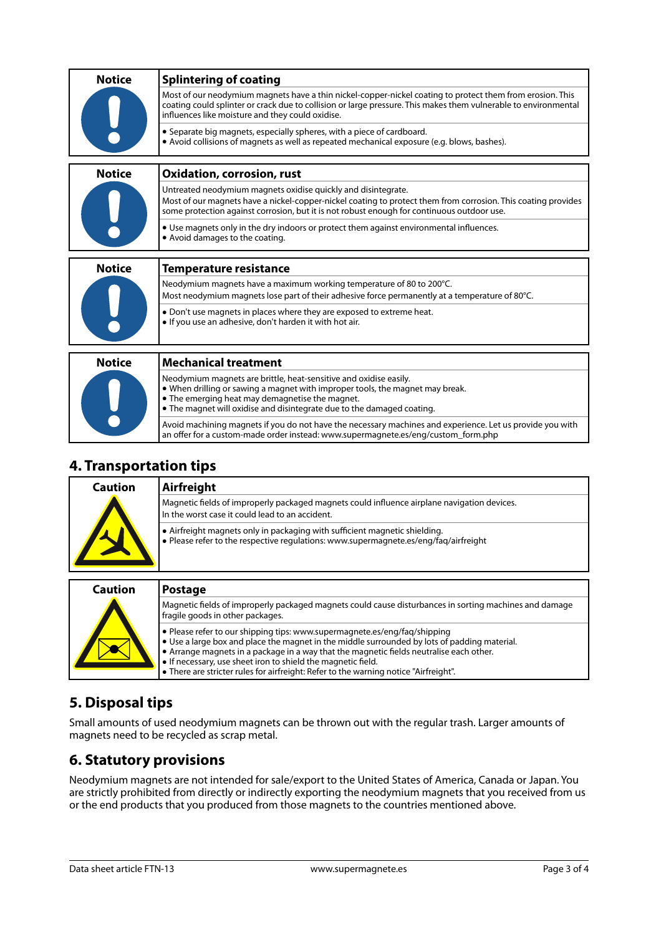| <b>Notice</b> | <b>Splintering of coating</b>                                                                                                                                                                                                                                                    |
|---------------|----------------------------------------------------------------------------------------------------------------------------------------------------------------------------------------------------------------------------------------------------------------------------------|
|               | Most of our neodymium magnets have a thin nickel-copper-nickel coating to protect them from erosion. This<br>coating could splinter or crack due to collision or large pressure. This makes them vulnerable to environmental<br>influences like moisture and they could oxidise. |
|               | • Separate big magnets, especially spheres, with a piece of cardboard.<br>• Avoid collisions of magnets as well as repeated mechanical exposure (e.g. blows, bashes).                                                                                                            |
| <b>Notice</b> | <b>Oxidation, corrosion, rust</b>                                                                                                                                                                                                                                                |
|               | Untreated neodymium magnets oxidise quickly and disintegrate.<br>Most of our magnets have a nickel-copper-nickel coating to protect them from corrosion. This coating provides<br>some protection against corrosion, but it is not robust enough for continuous outdoor use.     |
|               | • Use magnets only in the dry indoors or protect them against environmental influences.<br>• Avoid damages to the coating.                                                                                                                                                       |
| <b>Notice</b> | <b>Temperature resistance</b>                                                                                                                                                                                                                                                    |
|               | Neodymium magnets have a maximum working temperature of 80 to 200°C.                                                                                                                                                                                                             |
|               | Most neodymium magnets lose part of their adhesive force permanently at a temperature of 80°C.                                                                                                                                                                                   |
|               | • Don't use magnets in places where they are exposed to extreme heat.<br>. If you use an adhesive, don't harden it with hot air.                                                                                                                                                 |
|               |                                                                                                                                                                                                                                                                                  |
| <b>Notice</b> | <b>Mechanical treatment</b>                                                                                                                                                                                                                                                      |
|               | Neodymium magnets are brittle, heat-sensitive and oxidise easily.<br>• When drilling or sawing a magnet with improper tools, the magnet may break.<br>• The emerging heat may demagnetise the magnet.<br>• The magnet will oxidise and disintegrate due to the damaged coating.  |
|               | Avoid machining magnets if you do not have the necessary machines and experience. Let us provide you with                                                                                                                                                                        |

#### **4. Transportation tips**

| Caution | Airfreight                                                                                                                                                         |
|---------|--------------------------------------------------------------------------------------------------------------------------------------------------------------------|
|         | Magnetic fields of improperly packaged magnets could influence airplane navigation devices.<br>In the worst case it could lead to an accident.                     |
|         | • Airfreight magnets only in packaging with sufficient magnetic shielding.<br>. Please refer to the respective regulations: www.supermagnete.es/eng/faq/airfreight |

an offer for a custom-made order instead: [www.supermagnete.es/eng/custom\\_form.php](http://www.supermagnete.es/eng/custom_form.php)

| Caution | <b>Postage</b>                                                                                                                                                                                                                                                                                                                                                                                                               |
|---------|------------------------------------------------------------------------------------------------------------------------------------------------------------------------------------------------------------------------------------------------------------------------------------------------------------------------------------------------------------------------------------------------------------------------------|
|         | Magnetic fields of improperly packaged magnets could cause disturbances in sorting machines and damage<br>fragile goods in other packages.                                                                                                                                                                                                                                                                                   |
|         | • Please refer to our shipping tips: www.supermagnete.es/eng/fag/shipping<br>. Use a large box and place the magnet in the middle surrounded by lots of padding material.<br>• Arrange magnets in a package in a way that the magnetic fields neutralise each other.<br>. If necessary, use sheet iron to shield the magnetic field.<br>• There are stricter rules for airfreight: Refer to the warning notice "Airfreight". |

## **5. Disposal tips**

Small amounts of used neodymium magnets can be thrown out with the regular trash. Larger amounts of magnets need to be recycled as scrap metal.

### **6. Statutory provisions**

Neodymium magnets are not intended for sale/export to the United States of America, Canada or Japan. You are strictly prohibited from directly or indirectly exporting the neodymium magnets that you received from us or the end products that you produced from those magnets to the countries mentioned above.